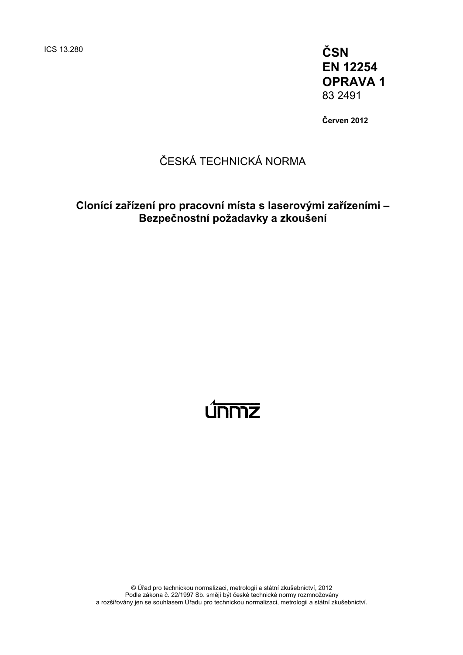ICS 13.280 **ČSN EN 12254 OPRAVA 1**  83 2491

**Červen 2012** 

# ČESKÁ TECHNICKÁ NORMA

## **Clonící zařízení pro pracovní místa s laserovými zařízeními – Bezpečnostní požadavky a zkoušení**

# <u>únmz</u>

© Úřad pro technickou normalizaci, metrologii a státní zkušebnictví, 2012 Podle zákona č. 22/1997 Sb. smějí být české technické normy rozmnožovány a rozšiřovány jen se souhlasem Úřadu pro technickou normalizaci, metrologii a státní zkušebnictví.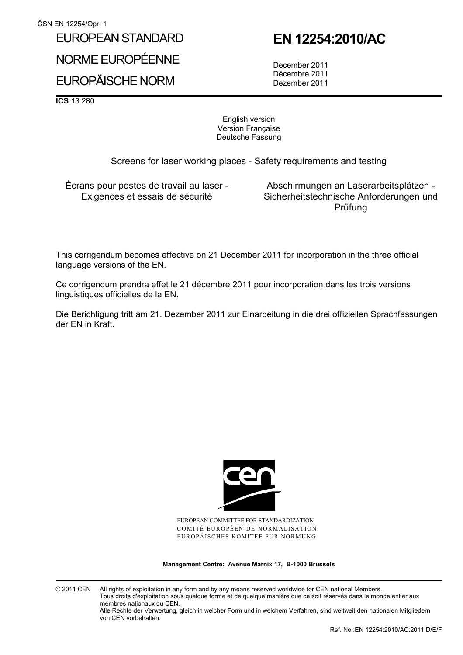### EUROPEAN STANDARD

NORME EUROPÉENNE

# EUROPÄISCHE NORM

 **EN 12254:2010/AC** 

 December 2011 Décembre 2011 Dezember 2011

**ICS** 13.280

English version Version Française Deutsche Fassung

Screens for laser working places - Safety requirements and testing

Écrans pour postes de travail au laser - Exigences et essais de sécurité

 Abschirmungen an Laserarbeitsplätzen - Sicherheitstechnische Anforderungen und Prüfung

This corrigendum becomes effective on 21 December 2011 for incorporation in the three official language versions of the EN.

Ce corrigendum prendra effet le 21 décembre 2011 pour incorporation dans les trois versions linguistiques officielles de la EN.

Die Berichtigung tritt am 21. Dezember 2011 zur Einarbeitung in die drei offiziellen Sprachfassungen der EN in Kraft.



EUROPEAN COMMITTEE FOR STANDARDIZATION COMITÉ EUROPÉEN DE NORMALISATION EUROPÄISCHES KOMITEE FÜR NORMUNG

**Management Centre: Avenue Marnix 17, B-1000 Brussels** 

© 2011 CEN All rights of exploitation in any form and by any means reserved worldwide for CEN national Members. Tous droits d'exploitation sous quelque forme et de quelque manière que ce soit réservés dans le monde entier aux membres nationaux du CEN. Alle Rechte der Verwertung, gleich in welcher Form und in welchem Verfahren, sind weltweit den nationalen Mitgliedern von CEN vorbehalten.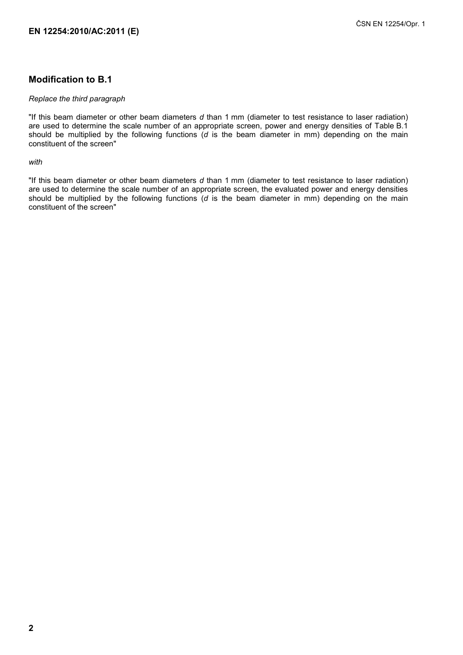#### **Modification to B.1**

#### *Replace the third paragraph*

"If this beam diameter or other beam diameters *d* than 1 mm (diameter to test resistance to laser radiation) are used to determine the scale number of an appropriate screen, power and energy densities of Table B.1 should be multiplied by the following functions (*d* is the beam diameter in mm) depending on the main constituent of the screen"

*with* 

"If this beam diameter or other beam diameters *d* than 1 mm (diameter to test resistance to laser radiation) are used to determine the scale number of an appropriate screen, the evaluated power and energy densities should be multiplied by the following functions (*d* is the beam diameter in mm) depending on the main constituent of the screen"